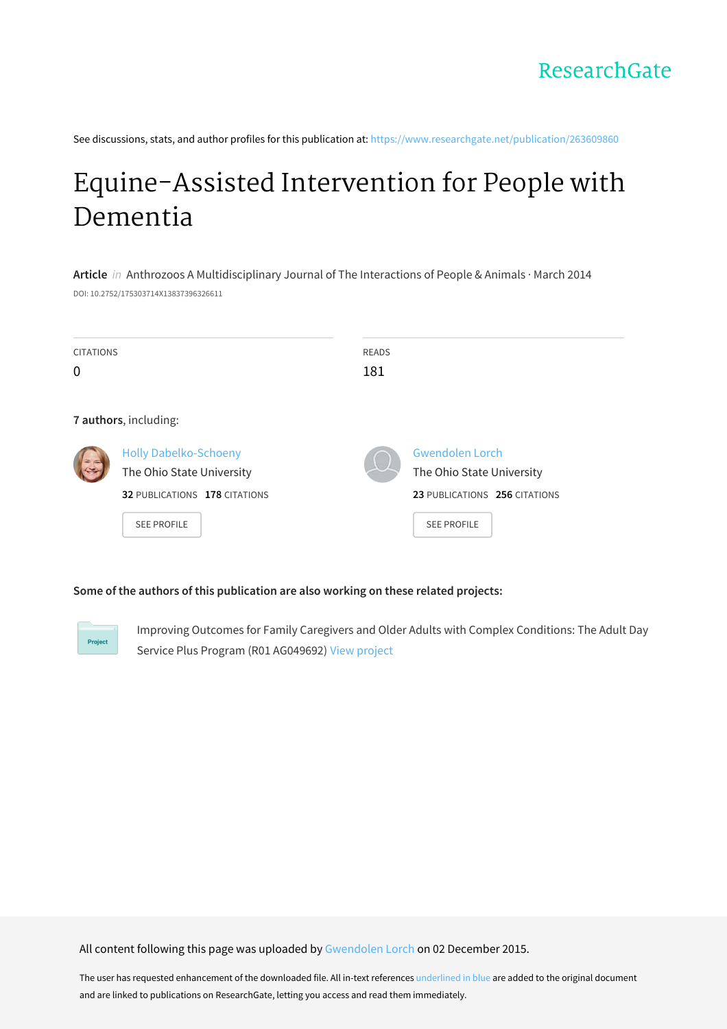See discussions, stats, and author profiles for this publication at: [https://www.researchgate.net/publication/263609860](https://www.researchgate.net/publication/263609860_Equine-Assisted_Intervention_for_People_with_Dementia?enrichId=rgreq-a3fbaf29c22b1bd6bd5aa9b00d192c31-XXX&enrichSource=Y292ZXJQYWdlOzI2MzYwOTg2MDtBUzozMDIyMjAwNTcyMTkwNzNAMTQ0OTA2NjI4NDg3Mg%3D%3D&el=1_x_2&_esc=publicationCoverPdf)

# [Equine-Assisted](https://www.researchgate.net/publication/263609860_Equine-Assisted_Intervention_for_People_with_Dementia?enrichId=rgreq-a3fbaf29c22b1bd6bd5aa9b00d192c31-XXX&enrichSource=Y292ZXJQYWdlOzI2MzYwOTg2MDtBUzozMDIyMjAwNTcyMTkwNzNAMTQ0OTA2NjI4NDg3Mg%3D%3D&el=1_x_3&_esc=publicationCoverPdf) Intervention for People with Dementia

**Article** in Anthrozoos A Multidisciplinary Journal of The Interactions of People & Animals · March 2014 DOI: 10.2752/175303714X13837396326611

| <b>CITATIONS</b><br>0 |                                                                                                                  | <b>READS</b><br>181 |                                                                                                            |
|-----------------------|------------------------------------------------------------------------------------------------------------------|---------------------|------------------------------------------------------------------------------------------------------------|
|                       | 7 authors, including:                                                                                            |                     |                                                                                                            |
|                       | <b>Holly Dabelko-Schoeny</b><br>The Ohio State University<br>32 PUBLICATIONS 178 CITATIONS<br><b>SEE PROFILE</b> |                     | <b>Gwendolen Lorch</b><br>The Ohio State University<br>23 PUBLICATIONS 256 CITATIONS<br><b>SEE PROFILE</b> |

### **Some of the authors of this publication are also working on these related projects:**

Project

Improving Outcomes for Family Caregivers and Older Adults with Complex Conditions: The Adult Day Service Plus Program (R01 AG049692) View [project](https://www.researchgate.net/project/Improving-Outcomes-for-Family-Caregivers-and-Older-Adults-with-Complex-Conditions-The-Adult-Day-Service-Plus-Program-R01-AG049692?enrichId=rgreq-a3fbaf29c22b1bd6bd5aa9b00d192c31-XXX&enrichSource=Y292ZXJQYWdlOzI2MzYwOTg2MDtBUzozMDIyMjAwNTcyMTkwNzNAMTQ0OTA2NjI4NDg3Mg%3D%3D&el=1_x_9&_esc=publicationCoverPdf)

All content following this page was uploaded by [Gwendolen](https://www.researchgate.net/profile/Gwendolen_Lorch?enrichId=rgreq-a3fbaf29c22b1bd6bd5aa9b00d192c31-XXX&enrichSource=Y292ZXJQYWdlOzI2MzYwOTg2MDtBUzozMDIyMjAwNTcyMTkwNzNAMTQ0OTA2NjI4NDg3Mg%3D%3D&el=1_x_10&_esc=publicationCoverPdf) Lorch on 02 December 2015.

The user has requested enhancement of the downloaded file. All in-text references underlined in blue are added to the original document and are linked to publications on ResearchGate, letting you access and read them immediately.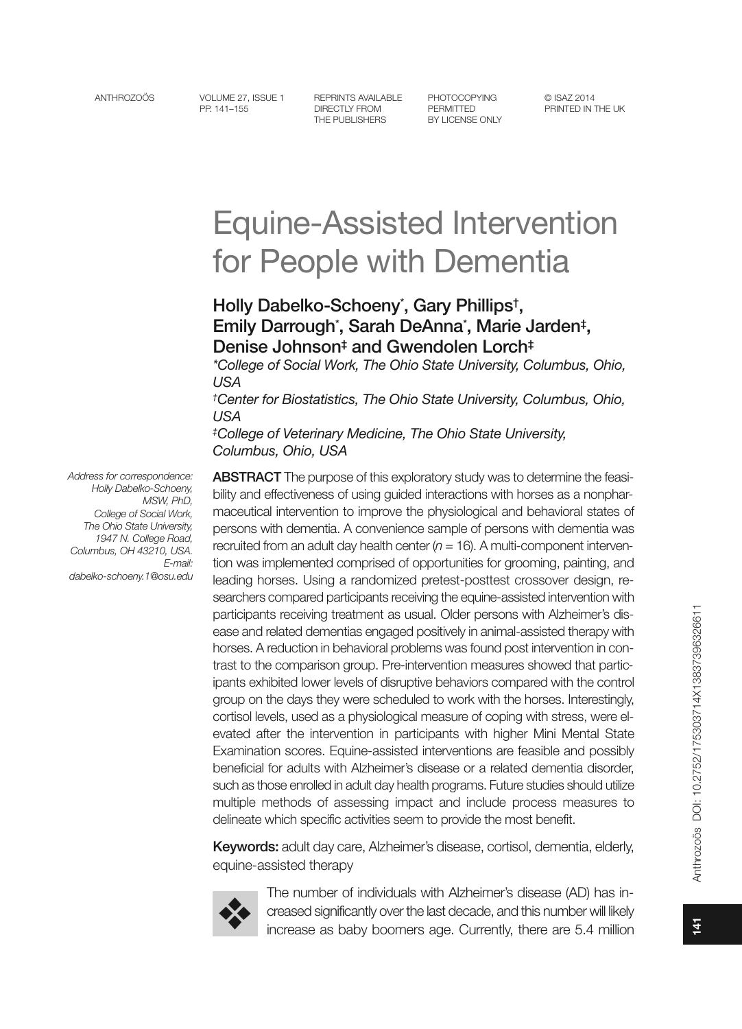ANTHROZOÖS VOLUME 27, ISSUE 1 REPRINTS AVAILABLE PHOTOCOPYING © ISAZ 2014 DIRECTLY FROM PERMITTED PRINTED IN THE UK<br>THE PLIBLISHERS BY LICENSE ONLY

**RY LICENSE ONLY** 

# Equine-Assisted Intervention for People with Dementia

# **Holly Dabelko-Schoeny\* , Gary Phillips†, Emily Darrough\* , Sarah DeAnna\* , Marie Jarden‡, Denise Johnson‡ and Gwendolen Lorch‡**

*\*College of Social Work, The Ohio State University, Columbus, Ohio, USA*

*†Center for Biostatistics, The Ohio State University, Columbus, Ohio, USA*

*‡College of Veterinary Medicine, The Ohio State University, Columbus, Ohio, USA*

**ABSTRACT** The purpose of this exploratory study was to determine the feasibility and effectiveness of using guided interactions with horses as a nonpharmaceutical intervention to improve the physiological and behavioral states of persons with dementia. A convenience sample of persons with dementia was recruited from an adult day health center  $(n = 16)$ . A multi-component intervention was implemented comprised of opportunities for grooming, painting, and leading horses. Using a randomized pretest-posttest crossover design, researchers compared participants receiving the equine-assisted intervention with participants receiving treatment as usual. Older persons with Alzheimer's disease and related dementias engaged positively in animal-assisted therapy with horses. A reduction in behavioral problems was found post intervention in contrast to the comparison group. Pre-intervention measures showed that participants exhibited lower levels of disruptive behaviors compared with the control group on the days they were scheduled to work with the horses. Interestingly, cortisol levels, used as a physiological measure of coping with stress, were elevated after the intervention in participants with higher Mini Mental State Examination scores. Equine-assisted interventions are feasible and possibly beneficial for adults with Alzheimer's disease or a related dementia disorder, such as those enrolled in adult day health programs. Future studies should utilize multiple methods of assessing impact and include process measures to delineate which specific activities seem to provide the most benefit. Equine-Assisted Intervention<br>for People with Dementia<br>Holly Dabelko-Schoeny, Gary Phillipst,<br>Holly Dabelko-Schoeny, Gary Phillipst,<br>Emrity Darrough', Sarah DeAma: Marie Jardent,<br>Disconsisted Schoen and Awendolen Lorcht<br>Col Emitiy Darrough', Sarah DeAnna', Marie Jarden\*,<br>
Denise Johnson+ and Gwendolen Lorch\*<br>
College of Social Work, The Ohio State University, Columbus, Ohio,<br>
USA<br>
College of Social Work, The Ohio State University, Columbus, O

**Keywords:** adult day care, Alzheimer's disease, cortisol, dementia, elderly, equine-assisted therapy



The number of individuals with Alzheimer's disease (AD) has in creased significantly over the last decade, and this number will likely increase as baby boomers age. Currently, there are 5.4 million

*Address for correspondence: Holly Dabelko-Schoeny, MSW, PhD, College of Social Work, The Ohio State University, 1947 N. College Road, Columbus, OH 43210, USA. E-mail: dabelko-schoeny.1@osu.edu*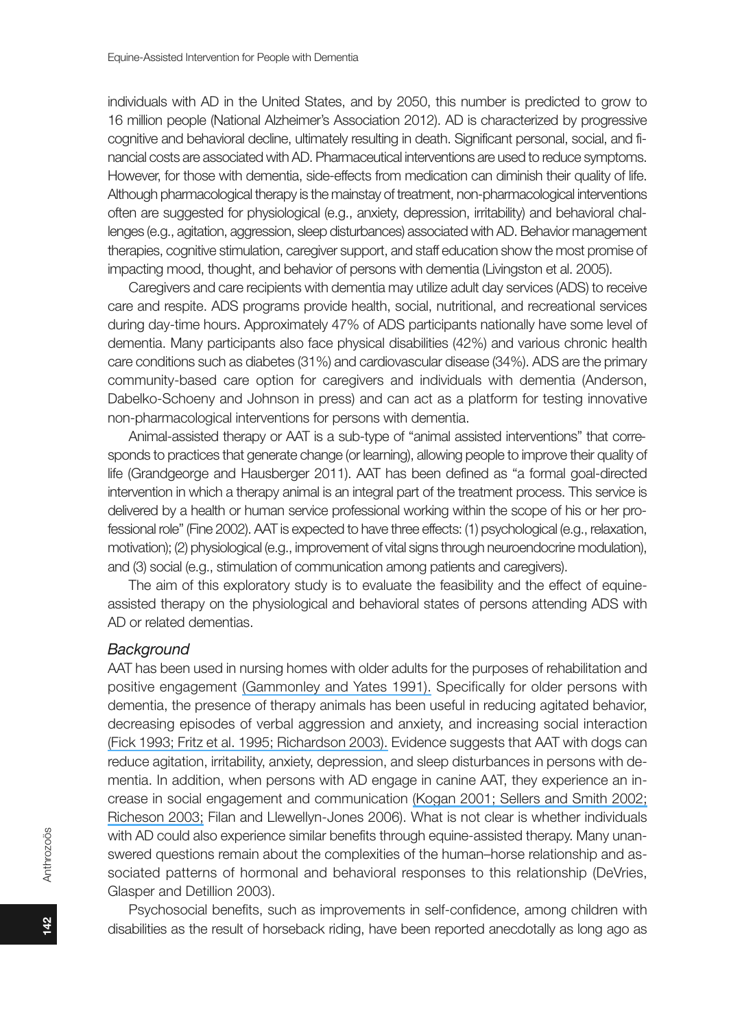individuals with AD in the United States, and by 2050, this number is predicted to grow to 16 million people (National Alzheimer's Association 2012). AD is characterized by progressive cognitive and behavioral decline, ultimately resulting in death. Significant personal, social, and financial costs are associated with AD. Pharmaceutical interventions are used to reduce symptoms. However, for those with dementia, side-effects from medication can diminish their quality of life. Although pharmacological therapy is the mainstay of treatment, non-pharmacological interventions often are suggested for physiological (e.g., anxiety, depression, irritability) and behavioral challenges (e.g., agitation, aggression, sleep disturbances) associated with AD. Behavior management therapies, cognitive stimulation, caregiver support, and staff education show the most promise of impacting mood, thought, and behavior of persons with dementia (Livingston et al. 2005).

Caregivers and care recipients with dementia may utilize adult day services (ADS) to receive care and respite. ADS programs provide health, social, nutritional, and recreational services during day-time hours. Approximately 47% of ADS participants nationally have some level of dementia. Many participants also face physical disabilities (42%) and various chronic health care conditions such as diabetes (31%) and cardiovascular disease (34%). ADS are the primary community-based care option for caregivers and individuals with dementia (Anderson, Dabelko-Schoeny and Johnson in press) and can act as a platform for testing innovative non-pharmacological interventions for persons with dementia. Nowers, 10 in use with deniating subcerties is infinited and a considered infinite that then considered in physiological intervention<br>In Although pharmacological therapy is the mainstay of treatment, non-pharmacological in

Animal-assisted therapy or AAT is a sub-type of "animal assisted interventions" that corresponds to practices that generate change (or learning), allowing people to improve their quality of life (Grandgeorge and Hausberger 2011). AAT has been defined as "a formal goal-directed intervention in which a therapy animal is an integral part of the treatment process. This service is delivered by a health or human service professional working within the scope of his or her professional role" (Fine 2002). AAT is expected to have three effects: (1) psychological (e.g., relaxation, motivation); (2) physiological (e.g., improvement of vital signs through neuroendocrine modulation), and (3) social (e.g., stimulation of communication among patients and caregivers).

The aim of this exploratory study is to evaluate the feasibility and the effect of equineassisted therapy on the physiological and behavioral states of persons attending ADS with AD or related dementias.

#### *Background*

AAT has been used in nursing homes with older adults for the purposes of rehabilitation and positive engagement [\(Gammonley and Yates 1991\).](https://www.researchgate.net/publication/21255672_Pet_Projects_Animal_Assisted_Therapy_in_Nursing_Homes?el=1_x_8&enrichId=rgreq-a3fbaf29c22b1bd6bd5aa9b00d192c31-XXX&enrichSource=Y292ZXJQYWdlOzI2MzYwOTg2MDtBUzozMDIyMjAwNTcyMTkwNzNAMTQ0OTA2NjI4NDg3Mg==) Specifically for older persons with dementia, the presence of therapy animals has been useful in reducing agitated behavior, decreasing episodes of verbal aggression and anxiety, and increasing social interaction [\(Fick 1993; Fritz et al. 1995; Richardson 2003\).](https://www.researchgate.net/publication/14692253_The_Influence_of_an_Animal_on_Social_Interactions_of_Nursing_Home_Residents_in_a_Group_Setting?el=1_x_8&enrichId=rgreq-a3fbaf29c22b1bd6bd5aa9b00d192c31-XXX&enrichSource=Y292ZXJQYWdlOzI2MzYwOTg2MDtBUzozMDIyMjAwNTcyMTkwNzNAMTQ0OTA2NjI4NDg3Mg==) Evidence suggests that AAT with dogs can reduce agitation, irritability, anxiety, depression, and sleep disturbances in persons with dementia. In addition, when persons with AD engage in canine AAT, they experience an increase in social engagement and communication [\(Kogan 2001; Sellers and Smith 2002;](https://www.researchgate.net/publication/233150322_Effective_Animal-Intervention_for_Long_Term_Care_Residents?el=1_x_8&enrichId=rgreq-a3fbaf29c22b1bd6bd5aa9b00d192c31-XXX&enrichSource=Y292ZXJQYWdlOzI2MzYwOTg2MDtBUzozMDIyMjAwNTcyMTkwNzNAMTQ0OTA2NjI4NDg3Mg==) [Richeson 2003;](https://www.researchgate.net/publication/233150322_Effective_Animal-Intervention_for_Long_Term_Care_Residents?el=1_x_8&enrichId=rgreq-a3fbaf29c22b1bd6bd5aa9b00d192c31-XXX&enrichSource=Y292ZXJQYWdlOzI2MzYwOTg2MDtBUzozMDIyMjAwNTcyMTkwNzNAMTQ0OTA2NjI4NDg3Mg==) Filan and Llewellyn-Jones 2006). What is not clear is whether individuals with AD could also experience similar benefits through equine-assisted therapy. Many unanswered questions remain about the complexities of the human–horse relationship and associated patterns of hormonal and behavioral responses to this relationship (DeVries, Glasper and Detillion 2003). time hours. Approvimately 47% of ADS participants nationally have some level of<br>Many participants also face physical disabilities (42%) and various chronic health<br>Mors such as diabetes (31%) and cardiovascular disease (34%

Psychosocial benefits, such as improvements in self-confidence, among children with disabilities as the result of horseback riding, have been reported anecdotally as long ago as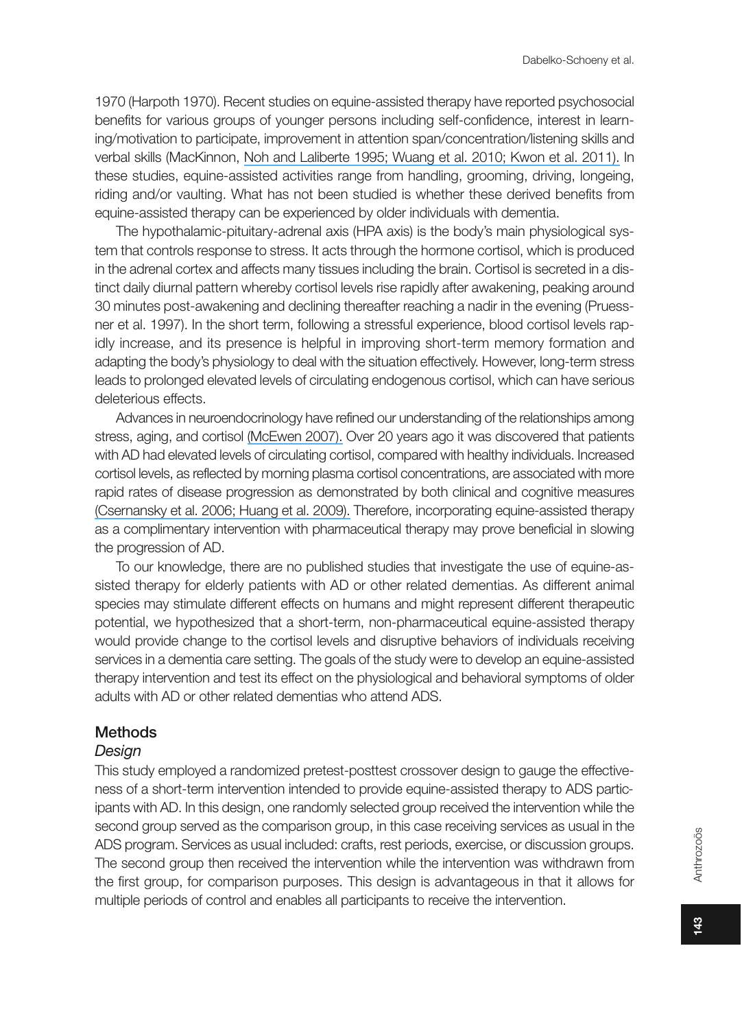1970 (Harpoth 1970). Recent studies on equine-assisted therapy have reported psychosocial benefits for various groups of younger persons including self-confidence, interest in learning/motivation to participate, improvement in attention span/concentration/listening skills and verbal skills (MacKinnon, [Noh and Laliberte 1995; Wuang et al. 2010; Kwon et al. 2011\).](https://www.researchgate.net/publication/51087014_Effects_of_Hippotherapy_on_Gait_Parameters_in_Children_With_Bilateral_Spastic_Cerebral_Palsy?el=1_x_8&enrichId=rgreq-a3fbaf29c22b1bd6bd5aa9b00d192c31-XXX&enrichSource=Y292ZXJQYWdlOzI2MzYwOTg2MDtBUzozMDIyMjAwNTcyMTkwNzNAMTQ0OTA2NjI4NDg3Mg==) In these studies, equine-assisted activities range from handling, grooming, driving, longeing, riding and/or vaulting. What has not been studied is whether these derived benefits from equine-assisted therapy can be experienced by older individuals with dementia.

The hypothalamic-pituitary-adrenal axis (HPA axis) is the body's main physiological system that controls response to stress. It acts through the hormone cortisol, which is produced in the adrenal cortex and affects many tissues including the brain. Cortisol is secreted in a distinct daily diurnal pattern whereby cortisol levels rise rapidly after awakening, peaking around 30 minutes post-awakening and declining thereafter reaching a nadir in the evening (Pruessner et al. 1997). In the short term, following a stressful experience, blood cortisol levels rapidly increase, and its presence is helpful in improving short-term memory formation and adapting the body's physiology to deal with the situation effectively. However, long-term stress leads to prolonged elevated levels of circulating endogenous cortisol, which can have serious deleterious effects. itense sourcines, equive assess and controls any interactional profit mathem and mini-<br>incing and/or vaulting. What has not been studied is whether these derived benefits from<br>equine-assisted therapy can be experimeded by

Advances in neuroendocrinology have refined our understanding of the relationships among stress, aging, and cortisol [\(McEwen 2007\).](https://www.researchgate.net/publication/6223301_Physiology_and_Neurobiology_of_Stress_and_Adaptation_Central_Role_of_the_Brain?el=1_x_8&enrichId=rgreq-a3fbaf29c22b1bd6bd5aa9b00d192c31-XXX&enrichSource=Y292ZXJQYWdlOzI2MzYwOTg2MDtBUzozMDIyMjAwNTcyMTkwNzNAMTQ0OTA2NjI4NDg3Mg==) Over 20 years ago it was discovered that patients with AD had elevated levels of circulating cortisol, compared with healthy individuals. Increased cortisol levels, as reflected by morning plasma cortisol concentrations, are associated with more rapid rates of disease progression as demonstrated by both clinical and cognitive measures [\(Csernansky et al. 2006; Huang et al. 2009\).](https://www.researchgate.net/publication/6648585_Plasma_Cortisol_and_Progression_of_Dementia_in_Subjects_With_Alzheimer-Type_Dementia?el=1_x_8&enrichId=rgreq-a3fbaf29c22b1bd6bd5aa9b00d192c31-XXX&enrichSource=Y292ZXJQYWdlOzI2MzYwOTg2MDtBUzozMDIyMjAwNTcyMTkwNzNAMTQ0OTA2NjI4NDg3Mg==) Therefore, incorporating equine-assisted therapy as a complimentary intervention with pharmaceutical therapy may prove beneficial in slowing the progression of AD. 7). In the short term, following a stressibli experience, blood cortisol levels rap-<br>and its presence is helpful in improving short-term meanory formation and<br>and its presence is helpful in improving short-term meanory for

To our knowledge, there are no published studies that investigate the use of equine-assisted therapy for elderly patients with AD or other related dementias. As different animal species may stimulate different effects on humans and might represent different therapeutic potential, we hypothesized that a short-term, non-pharmaceutical equine-assisted therapy would provide change to the cortisol levels and disruptive behaviors of individuals receiving services in a dementia care setting. The goals of the study were to develop an equine- assisted therapy intervention and test its effect on the physiological and behavioral symptoms of older adults with AD or other related dementias who attend ADS.

#### **Methods**

#### *Design*

This study employed a randomized pretest-posttest crossover design to gauge the effectiveness of a short-term intervention intended to provide equine-assisted therapy to ADS participants with AD. In this design, one randomly selected group received the intervention while the second group served as the comparison group, in this case receiving services as usual in the ADS program. Services as usual included: crafts, rest periods, exercise, or discussion groups. The second group then received the intervention while the intervention was withdrawn from the first group, for comparison purposes. This design is advantageous in that it allows for multiple periods of control and enables all participants to receive the intervention.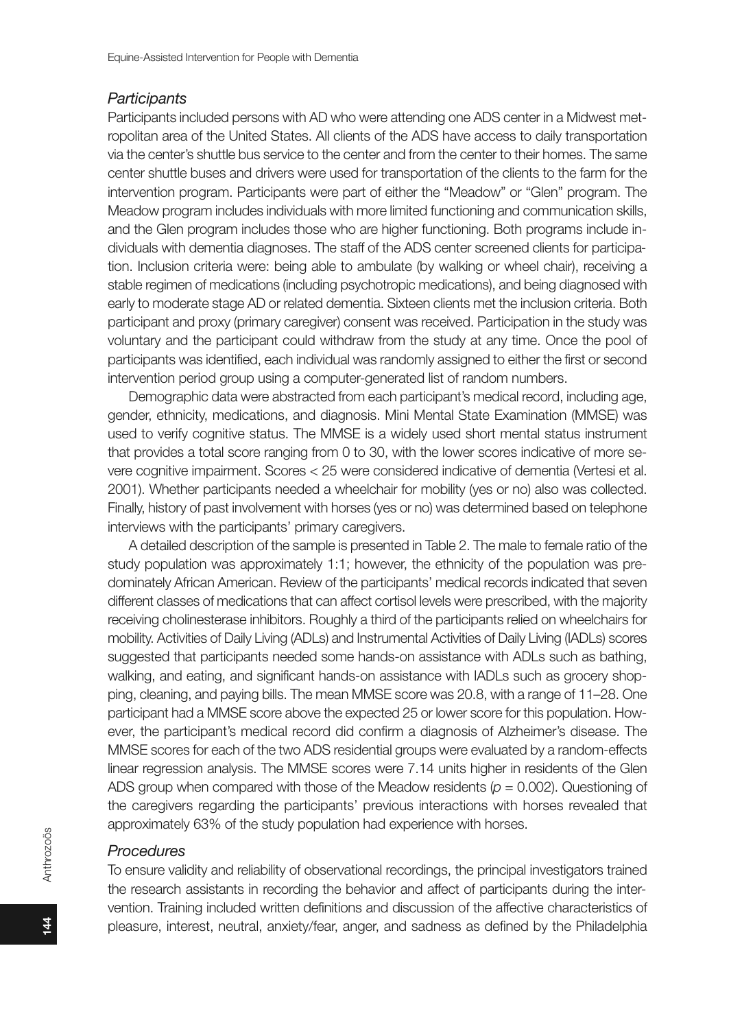#### *Participants*

Participants included persons with AD who were attending one ADS center in a Midwest metropolitan area of the United States. All clients of the ADS have access to daily transportation via the center's shuttle bus service to the center and from the center to their homes. The same center shuttle buses and drivers were used for transportation of the clients to the farm for the intervention program. Participants were part of either the "Meadow" or "Glen" program. The Meadow program includes individuals with more limited functioning and communication skills, and the Glen program includes those who are higher functioning. Both programs include individuals with dementia diagnoses. The staff of the ADS center screened clients for participation. Inclusion criteria were: being able to ambulate (by walking or wheel chair), receiving a stable regimen of medications (including psychotropic medications), and being diagnosed with early to moderate stage AD or related dementia. Sixteen clients met the inclusion criteria. Both participant and proxy (primary caregiver) consent was received. Participation in the study was voluntary and the participant could withdraw from the study at any time. Once the pool of participants was identified, each individual was randomly assigned to either the first or second intervention period group using a computer-generated list of random numbers. branche conservation program. Participants were part of either the "Meadow" or "doen" program. The measure intervention program. The fidelparts were part of either the "Meadow" or "Glen" program. The measurem includes invi

Demographic data were abstracted from each participant's medical record, including age, gender, ethnicity, medications, and diagnosis. Mini Mental State Examination (MMSE) was used to verify cognitive status. The MMSE is a widely used short mental status instrument that provides a total score ranging from 0 to 30, with the lower scores indicative of more severe cognitive impairment. Scores < 25 were considered indicative of dementia (Vertesi et al. 2001). Whether participants needed a wheelchair for mobility (yes or no) also was collected. Finally, history of past involvement with horses (yes or no) was determined based on telephone interviews with the participants' primary caregivers.

A detailed description of the sample is presented in Table 2. The male to female ratio of the study population was approximately 1:1; however, the ethnicity of the population was predominately African American. Review of the participants' medical records indicated that seven different classes of medications that can affect cortisol levels were prescribed, with the majority receiving cholinesterase inhibitors. Roughly a third of the participants relied on wheelchairs for mobility. Activities of Daily Living (ADLs) and Instrumental Activities of Daily Living (IADLs) scores suggested that participants needed some hands-on assistance with ADLs such as bathing, walking, and eating, and significant hands-on assistance with IADLs such as grocery shopping, cleaning, and paying bills. The mean MMSE score was 20.8, with a range of 11–28. One participant had a MMSE score above the expected 25 or lower score for this population. However, the participant's medical record did confirm a diagnosis of Alzheimer's disease. The MMSE scores for each of the two ADS residential groups were evaluated by a random-effects linear regression analysis. The MMSE scores were 7.14 units higher in residents of the Glen ADS group when compared with those of the Meadow residents (*p* = 0.002). Questioning of the caregivers regarding the participants' previous interactions with horses revealed that approximately 63% of the study population had experience with horses. and proxy (primary caregive) consent was received. Perticipation in the study was completed participation in the study at any time. Once the pool of a was identified, each individual was randomly assigned to either the fir

#### *Procedures*

To ensure validity and reliability of observational recordings, the principal investigators trained the research assistants in recording the behavior and affect of participants during the intervention. Training included written definitions and discussion of the affective characteristics of pleasure, interest, neutral, anxiety/fear, anger, and sadness as defined by the Philadelphia

 $144$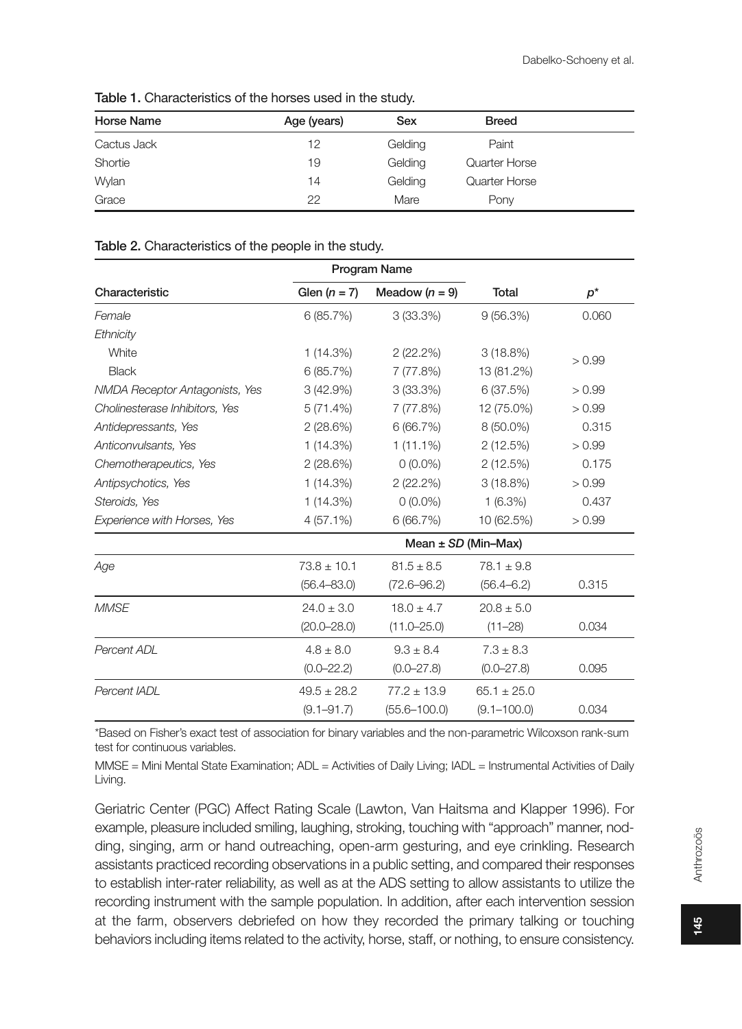**Table 1.** Characteristics of the horses used in the study.

| <b>Horse Name</b> | Age (years) | Sex     | <b>Breed</b>  |
|-------------------|-------------|---------|---------------|
| Cactus Jack       | 12          | Gelding | Paint         |
| Shortie           | 19          | Gelding | Quarter Horse |
| Wylan             | 14          | Gelding | Quarter Horse |
| Grace             | 22          | Mare    | Pony          |

| $p^*$<br>0.060<br>> 0.99<br>> 0.99<br>> 0.99<br>0.315<br>> 0.99<br>0.175<br>> 0.99                                                                                                                                             |
|--------------------------------------------------------------------------------------------------------------------------------------------------------------------------------------------------------------------------------|
|                                                                                                                                                                                                                                |
|                                                                                                                                                                                                                                |
|                                                                                                                                                                                                                                |
|                                                                                                                                                                                                                                |
|                                                                                                                                                                                                                                |
|                                                                                                                                                                                                                                |
|                                                                                                                                                                                                                                |
|                                                                                                                                                                                                                                |
|                                                                                                                                                                                                                                |
|                                                                                                                                                                                                                                |
|                                                                                                                                                                                                                                |
| 0.437                                                                                                                                                                                                                          |
| > 0.99                                                                                                                                                                                                                         |
|                                                                                                                                                                                                                                |
|                                                                                                                                                                                                                                |
| 0.315                                                                                                                                                                                                                          |
|                                                                                                                                                                                                                                |
| 0.034                                                                                                                                                                                                                          |
|                                                                                                                                                                                                                                |
| 0.095                                                                                                                                                                                                                          |
|                                                                                                                                                                                                                                |
| 0.034                                                                                                                                                                                                                          |
| *Based on Fisher's exact test of association for binary variables and the non-parametric Wilcoxson rank-sum<br>MMSE = Mini Mental State Examination; ADL = Activities of Daily Living; IADL = Instrumental Activities of Daily |

Geriatric Center (PGC) Affect Rating Scale (Lawton, Van Haitsma and Klapper 1996). For example, pleasure included smiling, laughing, stroking, touching with "approach" manner, nodding, singing, arm or hand outreaching, open-arm gesturing, and eye crinkling. Research assistants practiced recording observations in a public setting, and compared their responses to establish inter-rater reliability, as well as at the ADS setting to allow assistants to utilize the recording instrument with the sample population. In addition, after each intervention session at the farm, observers debriefed on how they recorded the primary talking or touching behaviors including items related to the activity, horse, staff, or nothing, to ensure consistency.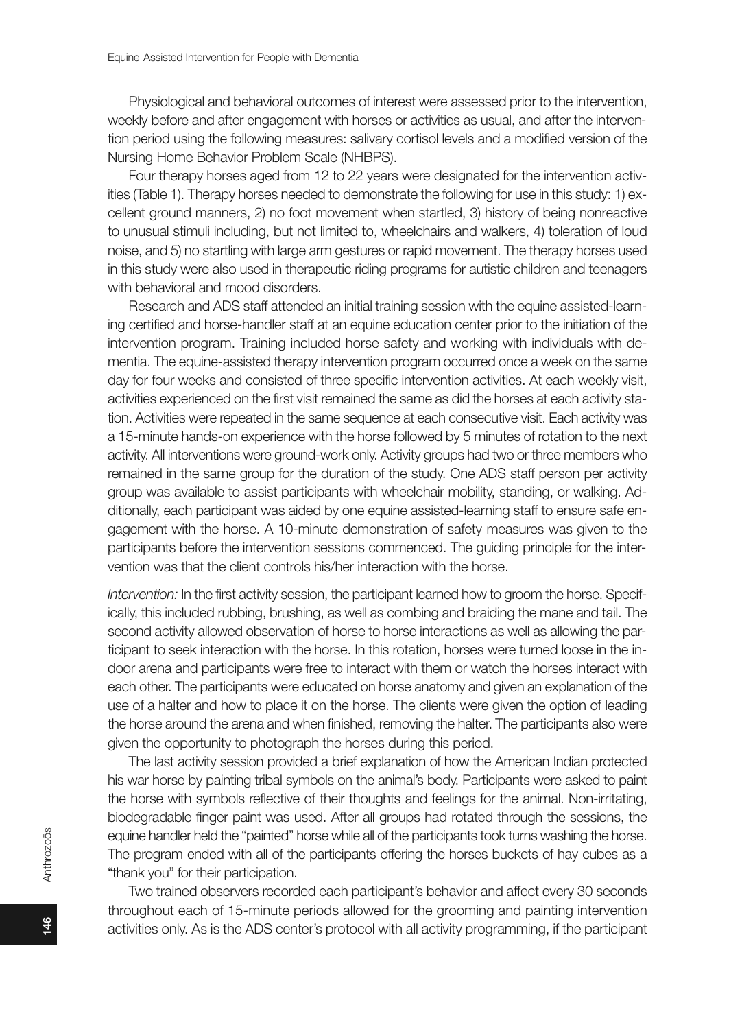Physiological and behavioral outcomes of interest were assessed prior to the intervention, weekly before and after engagement with horses or activities as usual, and after the intervention period using the following measures: salivary cortisol levels and a modified version of the Nursing Home Behavior Problem Scale (NHBPS).

Four therapy horses aged from 12 to 22 years were designated for the intervention activities (Table 1). Therapy horses needed to demonstrate the following for use in this study: 1) excellent ground manners, 2) no foot movement when startled, 3) history of being nonreactive to unusual stimuli including, but not limited to, wheelchairs and walkers, 4) toleration of loud noise, and 5) no startling with large arm gestures or rapid movement. The therapy horses used in this study were also used in therapeutic riding programs for autistic children and teenagers with behavioral and mood disorders.

Research and ADS staff attended an initial training session with the equine assisted-learning certified and horse-handler staff at an equine education center prior to the initiation of the intervention program. Training included horse safety and working with individuals with dementia. The equine-assisted therapy intervention program occurred once a week on the same day for four weeks and consisted of three specific intervention activities. At each weekly visit, activities experienced on the first visit remained the same as did the horses at each activity station. Activities were repeated in the same sequence at each consecutive visit. Each activity was a 15-minute hands-on experience with the horse followed by 5 minutes of rotation to the next activity. All interventions were ground-work only. Activity groups had two or three members who remained in the same group for the duration of the study. One ADS staff person per activity group was available to assist participants with wheelchair mobility, standing, or walking. Additionally, each participant was aided by one equine assisted-learning staff to ensure safe engagement with the horse. A 10-minute demonstration of safety measures was given to the participants before the intervention sessions commenced. The guiding principle for the intervention was that the client controls his/her interaction with the horse. From the eight boxes agro-limit in to z years were usely taken to internation at the following for use in this study. The distribution increases needed to demonstrate the following for use in this study. The distribution g it and horse-handler staff at an equive education centre prior to the initiation of the program. Training includied horse safety and working with individuals with de-<br>program. Training includied horse safety and working wi

*Intervention:* In the first activity session, the participant learned how to groom the horse. Specifically, this included rubbing, brushing, as well as combing and braiding the mane and tail. The second activity allowed observation of horse to horse interactions as well as allowing the participant to seek interaction with the horse. In this rotation, horses were turned loose in the indoor arena and participants were free to interact with them or watch the horses interact with each other. The participants were educated on horse anatomy and given an explanation of the use of a halter and how to place it on the horse. The clients were given the option of leading the horse around the arena and when finished, removing the halter. The participants also were given the opportunity to photograph the horses during this period.

The last activity session provided a brief explanation of how the American Indian protected his war horse by painting tribal symbols on the animal's body. Participants were asked to paint the horse with symbols reflective of their thoughts and feelings for the animal. Non-irritating, biodegradable finger paint was used. After all groups had rotated through the sessions, the equine handler held the "painted" horse while all of the participants took turns washing the horse. The program ended with all of the participants offering the horses buckets of hay cubes as a "thank you" for their participation.

Two trained observers recorded each participant's behavior and affect every 30 seconds throughout each of 15-minute periods allowed for the grooming and painting intervention activities only. As is the ADS center's protocol with all activity programming, if the participant

 $\frac{46}{5}$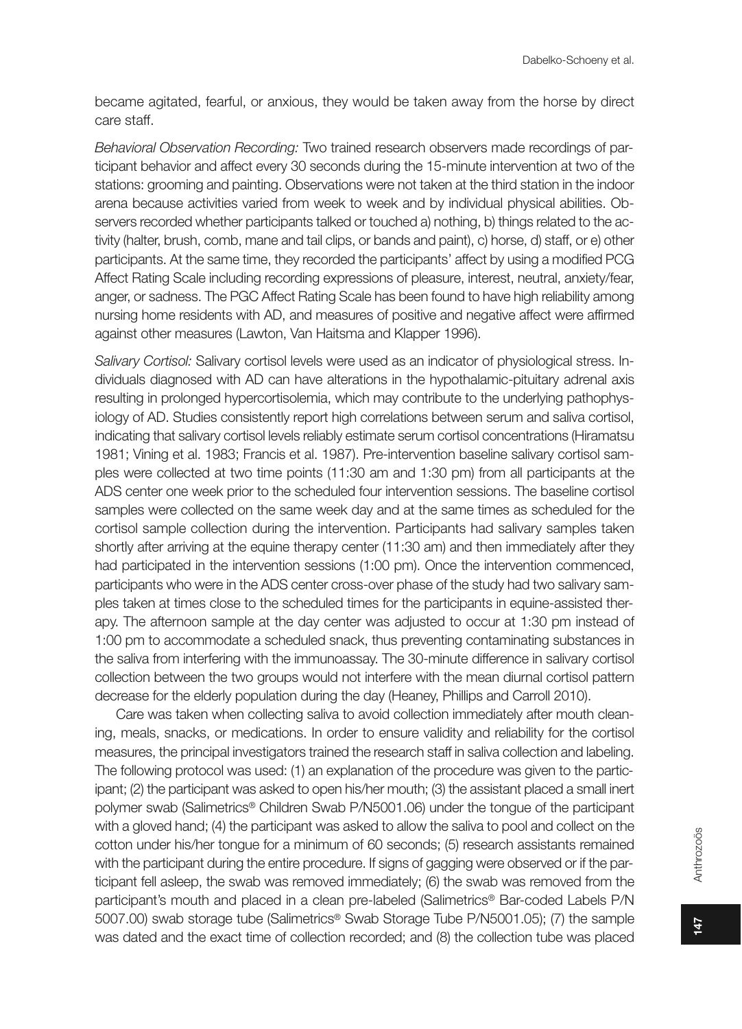became agitated, fearful, or anxious, they would be taken away from the horse by direct care staff.

*Behavioral Observation Recording:* Two trained research observers made recordings of participant behavior and affect every 30 seconds during the 15-minute intervention at two of the stations: grooming and painting. Observations were not taken at the third station in the indoor arena because activities varied from week to week and by individual physical abilities. Observers recorded whether participants talked or touched a) nothing, b) things related to the activity (halter, brush, comb, mane and tail clips, or bands and paint), c) horse, d) staff, or e) other participants. At the same time, they recorded the participants' affect by using a modified PCG Affect Rating Scale including recording expressions of pleasure, interest, neutral, anxiety/fear, anger, or sadness. The PGC Affect Rating Scale has been found to have high reliability among nursing home residents with AD, and measures of positive and negative affect were affirmed against other measures (Lawton, Van Haitsma and Klapper 1996).

*Salivary Cortisol:* Salivary cortisol levels were used as an indicator of physiological stress. Individuals diagnosed with AD can have alterations in the hypothalamic-pituitary adrenal axis resulting in prolonged hypercortisolemia, which may contribute to the underlying pathophysiology of AD. Studies consistently report high correlations between serum and saliva cortisol, indicating that salivary cortisol levels reliably estimate serum cortisol concentrations (Hiramatsu 1981; Vining et al. 1983; Francis et al. 1987). Pre-intervention baseline salivary cortisol samples were collected at two time points (11:30 am and 1:30 pm) from all participants at the ADS center one week prior to the scheduled four intervention sessions. The baseline cortisol samples were collected on the same week day and at the same times as scheduled for the cortisol sample collection during the intervention. Participants had salivary samples taken shortly after arriving at the equine therapy center (11:30 am) and then immediately after they had participated in the intervention sessions (1:00 pm). Once the intervention commenced, participants who were in the ADS center cross-over phase of the study had two salivary samples taken at times close to the scheduled times for the participants in equine-assisted therapy. The afternoon sample at the day center was adjusted to occur at 1:30 pm instead of 1:00 pm to accommodate a scheduled snack, thus preventing contaminating substances in the saliva from interfering with the immunoassay. The 30-minute difference in salivary cortisol collection between the two groups would not interfere with the mean diurnal cortisol pattern decrease for the elderly population during the day (Heaney, Phillips and Carroll 2010). stations: grooming and painting. Observations were not taken at the third station in the indoorena because activities varied from week and by including chyisincal abilities. Observations aby the station in the induced pain nosistros (Lawton, Van Halisma and Klapper 1996).<br>
Treasuros (Lawton, Van Halisma and Klapper 1996).<br>
Sol: Salwary cortisol levels were used as an indicator of physiological stress. In-<br>
nosasuros (Lawton, Van Halisma and

Care was taken when collecting saliva to avoid collection immediately after mouth cleaning, meals, snacks, or medications. In order to ensure validity and reliability for the cortisol measures, the principal investigators trained the research staff in saliva collection and labeling. The following protocol was used: (1) an explanation of the procedure was given to the participant; (2) the participant was asked to open his/her mouth; (3) the assistant placed a small inert polymer swab (Salimetrics® Children Swab P/N5001.06) under the tongue of the participant with a gloved hand; (4) the participant was asked to allow the saliva to pool and collect on the cotton under his/her tongue for a minimum of 60 seconds; (5) research assistants remained with the participant during the entire procedure. If signs of gagging were observed or if the participant fell asleep, the swab was removed immediately; (6) the swab was removed from the participant's mouth and placed in a clean pre-labeled (Salimetrics® Bar-coded Labels P/N 5007.00) swab storage tube (Salimetrics® Swab Storage Tube P/N5001.05); (7) the sample was dated and the exact time of collection recorded; and (8) the collection tube was placed

147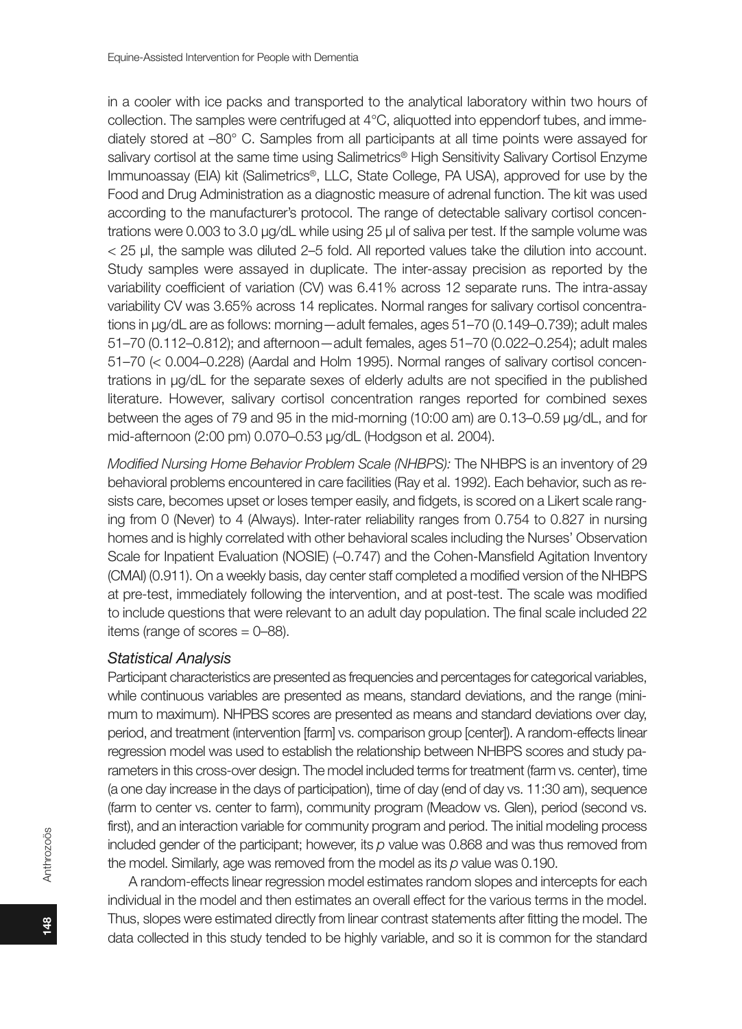in a cooler with ice packs and transported to the analytical laboratory within two hours of collection. The samples were centrifuged at 4°C, aliquotted into eppendorf tubes, and immediately stored at –80° C. Samples from all participants at all time points were assayed for salivary cortisol at the same time using Salimetrics® High Sensitivity Salivary Cortisol Enzyme Immunoassay (EIA) kit (Salimetrics®, LLC, State College, PA USA), approved for use by the Food and Drug Administration as a diagnostic measure of adrenal function. The kit was used according to the manufacturer's protocol. The range of detectable salivary cortisol concentrations were 0.003 to 3.0 μg/dL while using 25 μl of saliva per test. If the sample volume was < 25 μl, the sample was diluted 2–5 fold. All reported values take the dilution into account. Study samples were assayed in duplicate. The inter-assay precision as reported by the variability coefficient of variation (CV) was 6.41% across 12 separate runs. The intra-assay variability CV was 3.65% across 14 replicates. Normal ranges for salivary cortisol concentrations in μg/dL are as follows: morning—adult females, ages 51–70 (0.149–0.739); adult males 51–70 (0.112–0.812); and afternoon—adult females, ages 51–70 (0.022–0.254); adult males 51–70 (< 0.004–0.228) (Aardal and Holm 1995). Normal ranges of salivary cortisol concentrations in μg/dL for the separate sexes of elderly adults are not specified in the published literature. However, salivary cortisol concentration ranges reported for combined sexes between the ages of 79 and 95 in the mid-morning (10:00 am) are 0.13–0.59 μg/dL, and for mid-afternoon (2:00 pm) 0.070–0.53 μg/dL (Hodgson et al. 2004). minutivessey (Ler) at togential and agrees the consider the cost of the consideration and a particle and the matter of the matter of the consideration and a consideration and the matter of the matter of the matter of the

*Modified Nursing Home Behavior Problem Scale (NHBPS):* The NHBPS is an inventory of 29 behavioral problems encountered in care facilities (Ray et al. 1992). Each behavior, such as resists care, becomes upset or loses temper easily, and fidgets, is scored on a Likert scale ranging from 0 (Never) to 4 (Always). Inter-rater reliability ranges from 0.754 to 0.827 in nursing homes and is highly correlated with other behavioral scales including the Nurses' Observation Scale for Inpatient Evaluation (NOSIE) (–0.747) and the Cohen-Mansfield Agitation Inventory (CMAI) (0.911). On a weekly basis, day center staff completed a modified version of the NHBPS at pre-test, immediately following the intervention, and at post-test. The scale was modified to include questions that were relevant to an adult day population. The final scale included 22 items (range of scores = 0–88).

#### *Statistical Analysis*

Participant characteristics are presented as frequencies and percentages for categorical variables, while continuous variables are presented as means, standard deviations, and the range (minimum to maximum). NHPBS scores are presented as means and standard deviations over day, period, and treatment (intervention [farm] vs. comparison group [center]). A random-effects linear regression model was used to establish the relationship between NHBPS scores and study parameters in this cross-over design. The model included terms for treatment (farm vs. center), time (a one day increase in the days of participation), time of day (end of day vs. 11:30 am), sequence (farm to center vs. center to farm), community program (Meadow vs. Glen), period (second vs. first), and an interaction variable for community program and period. The initial modeling process included gender of the participant; however, its *p* value was 0.868 and was thus removed from the model. Similarly, age was removed from the model as its *p* value was 0.190. d: are as follows: moming-adult females, ages 51-70 (0.149-0.739); adult males<br>12-0.812); and afternoon—adult females, ages 51-70 (0.022-0.254); adult males<br>.004-0.228) (Aardal and Holm 1995). Normal ranges of salivary cor

A random-effects linear regression model estimates random slopes and intercepts for each individual in the model and then estimates an overall effect for the various terms in the model. Thus, slopes were estimated directly from linear contrast statements after fitting the model. The data collected in this study tended to be highly variable, and so it is common for the standard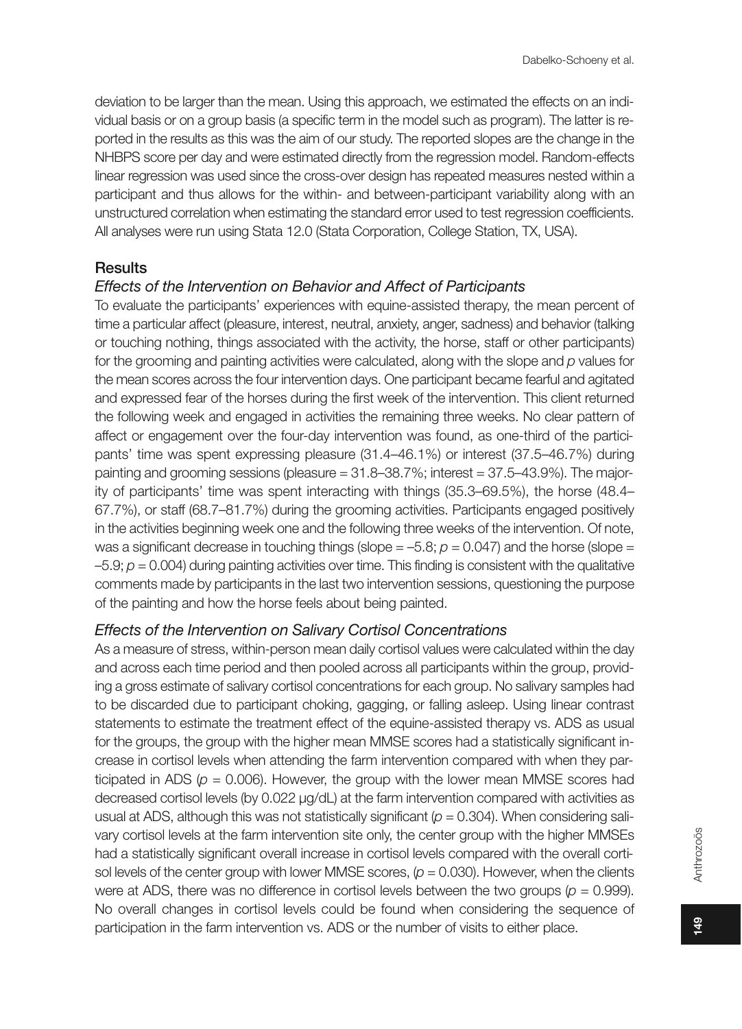deviation to be larger than the mean. Using this approach, we estimated the effects on an individual basis or on a group basis (a specific term in the model such as program). The latter is reported in the results as this was the aim of our study. The reported slopes are the change in the NHBPS score per day and were estimated directly from the regression model. Random-effects linear regression was used since the cross-over design has repeated measures nested within a participant and thus allows for the within- and between-participant variability along with an unstructured correlation when estimating the standard error used to test regression coefficients. All analyses were run using Stata 12.0 (Stata Corporation, College Station, TX, USA).

#### **Results**

#### *Effects of the Intervention on Behavior and Affect of Participants*

To evaluate the participants' experiences with equine-assisted therapy, the mean percent of time a particular affect (pleasure, interest, neutral, anxiety, anger, sadness) and behavior (talking or touching nothing, things associated with the activity, the horse, staff or other participants) for the grooming and painting activities were calculated, along with the slope and *p* values for the mean scores across the four intervention days. One participant became fearful and agitated and expressed fear of the horses during the first week of the intervention. This client returned the following week and engaged in activities the remaining three weeks. No clear pattern of affect or engagement over the four-day intervention was found, as one-third of the participants' time was spent expressing pleasure (31.4–46.1%) or interest (37.5–46.7%) during painting and grooming sessions (pleasure  $= 31.8 - 38.7\%$ ; interest  $= 37.5 - 43.9\%$ ). The majority of participants' time was spent interacting with things (35.3–69.5%), the horse (48.4– 67.7%), or staff (68.7–81.7%) during the grooming activities. Participants engaged positively in the activities beginning week one and the following three weeks of the intervention. Of note, was a significant decrease in touching things (slope  $=-5.8$ ;  $p = 0.047$ ) and the horse (slope =  $-5.9$ ;  $p = 0.004$ ) during painting activities over time. This finding is consistent with the qualitative comments made by participants in the last two intervention sessions, questioning the purpose of the painting and how the horse feels about being painted. meaning ressorts was used since the totas-over uses (material participant state) is respected to associate state and thus allows for the within- and between-participant virability along with a unstructured correlation whe thar affect (pleasure, interest, neutral, anxiety, anger, sachessi and behavior (talking<br>to thing, things associated with the activity, the horee, staff or other participants)<br>ing and painting activities were calculated, a

### *Effects of the Intervention on Salivary Cortisol Concentrations*

As a measure of stress, within-person mean daily cortisol values were calculated within the day and across each time period and then pooled across all participants within the group, providing a gross estimate of salivary cortisol concentrations for each group. No salivary samples had to be discarded due to participant choking, gagging, or falling asleep. Using linear contrast statements to estimate the treatment effect of the equine-assisted therapy vs. ADS as usual for the groups, the group with the higher mean MMSE scores had a statistically significant increase in cortisol levels when attending the farm intervention compared with when they participated in ADS ( $p = 0.006$ ). However, the group with the lower mean MMSE scores had decreased cortisol levels (by 0.022 μg/dL) at the farm intervention compared with activities as usual at ADS, although this was not statistically significant  $(p = 0.304)$ . When considering salivary cortisol levels at the farm intervention site only, the center group with the higher MMSEs had a statistically significant overall increase in cortisol levels compared with the overall cortisol levels of the center group with lower MMSE scores, ( $p = 0.030$ ). However, when the clients were at ADS, there was no difference in cortisol levels between the two groups  $(p = 0.999)$ . No overall changes in cortisol levels could be found when considering the sequence of participation in the farm intervention vs. ADS or the number of visits to either place.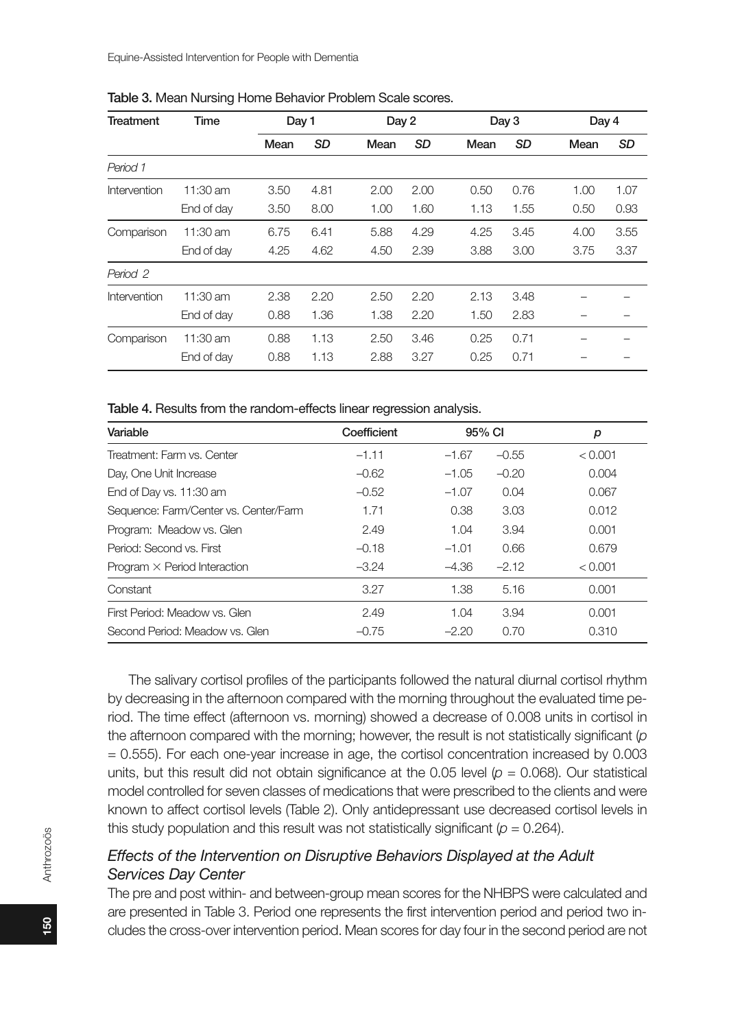| Treatment    | Time       | Day 1 |      | Day 2 |      |      | Day 3     |      | Day 4     |
|--------------|------------|-------|------|-------|------|------|-----------|------|-----------|
|              |            | Mean  | SD   | Mean  | SD   | Mean | <b>SD</b> | Mean | <b>SD</b> |
| Period 1     |            |       |      |       |      |      |           |      |           |
| Intervention | $11:30$ am | 3.50  | 4.81 | 2.00  | 2.00 | 0.50 | 0.76      | 1.00 | 1.07      |
|              | End of day | 3.50  | 8.00 | 1.00  | 1.60 | 1.13 | 1.55      | 0.50 | 0.93      |
| Comparison   | $11:30$ am | 6.75  | 6.41 | 5.88  | 4.29 | 4.25 | 3.45      | 4.00 | 3.55      |
|              | End of day | 4.25  | 4.62 | 4.50  | 2.39 | 3.88 | 3.00      | 3.75 | 3.37      |
| Period 2     |            |       |      |       |      |      |           |      |           |
| Intervention | $11:30$ am | 2.38  | 2.20 | 2.50  | 2.20 | 2.13 | 3.48      |      |           |
|              | End of day | 0.88  | 1.36 | 1.38  | 2.20 | 1.50 | 2.83      |      |           |
| Comparison   | $11:30$ am | 0.88  | 1.13 | 2.50  | 3.46 | 0.25 | 0.71      |      |           |
|              | End of day | 0.88  | 1.13 | 2.88  | 3.27 | 0.25 | 0.71      |      |           |
|              |            |       |      |       |      |      |           |      |           |

**Table 4.** Results from the random-effects linear regression analysis.

| Intervention             | 11:30 am                                                                                                                                                                                                                                                                                                                                                                                                                                                                                                                                                                                                                                                                                                          | 3.50 | 4.81 | 2.00                   | 2.00 | 0.50              | 0.76    | 1.00         | 1.07 |
|--------------------------|-------------------------------------------------------------------------------------------------------------------------------------------------------------------------------------------------------------------------------------------------------------------------------------------------------------------------------------------------------------------------------------------------------------------------------------------------------------------------------------------------------------------------------------------------------------------------------------------------------------------------------------------------------------------------------------------------------------------|------|------|------------------------|------|-------------------|---------|--------------|------|
|                          | End of day                                                                                                                                                                                                                                                                                                                                                                                                                                                                                                                                                                                                                                                                                                        | 3.50 | 8.00 | 1.00                   | 1.60 | 1.13              | 1.55    | 0.50         | 0.93 |
| Comparison               | 11:30 am                                                                                                                                                                                                                                                                                                                                                                                                                                                                                                                                                                                                                                                                                                          | 6.75 | 6.41 | 5.88                   | 4.29 | 4.25              | 3.45    | 4.00         | 3.55 |
|                          | End of day                                                                                                                                                                                                                                                                                                                                                                                                                                                                                                                                                                                                                                                                                                        | 4.25 | 4.62 | 4.50                   | 2.39 | 3.88              | 3.00    | 3.75         | 3.37 |
| Period 2                 |                                                                                                                                                                                                                                                                                                                                                                                                                                                                                                                                                                                                                                                                                                                   |      |      |                        |      |                   |         |              |      |
| Intervention             | 11:30 am                                                                                                                                                                                                                                                                                                                                                                                                                                                                                                                                                                                                                                                                                                          | 2.38 | 2.20 | 2.50                   | 2.20 | 2.13              | 3.48    |              |      |
|                          | End of day                                                                                                                                                                                                                                                                                                                                                                                                                                                                                                                                                                                                                                                                                                        | 0.88 | 1.36 | 1.38                   | 2.20 | 1.50              | 2.83    |              |      |
| Comparison               | 11:30 am                                                                                                                                                                                                                                                                                                                                                                                                                                                                                                                                                                                                                                                                                                          | 0.88 | 1.13 | 2.50                   | 3.46 | 0.25              | 0.71    |              |      |
|                          | End of day                                                                                                                                                                                                                                                                                                                                                                                                                                                                                                                                                                                                                                                                                                        | 0.88 | 1.13 | 2.88                   | 3.27 | 0.25              | 0.71    |              |      |
| Variable                 | Treatment: Farm vs. Center                                                                                                                                                                                                                                                                                                                                                                                                                                                                                                                                                                                                                                                                                        |      |      | Coefficient<br>$-1.11$ |      | 95% CI<br>$-1.67$ | $-0.55$ | р<br>< 0.001 |      |
|                          |                                                                                                                                                                                                                                                                                                                                                                                                                                                                                                                                                                                                                                                                                                                   |      |      |                        |      |                   |         |              |      |
| Day, One Unit Increase   |                                                                                                                                                                                                                                                                                                                                                                                                                                                                                                                                                                                                                                                                                                                   |      |      | $-0.62$                |      | $-1.05$           | $-0.20$ | 0.004        |      |
| End of Day vs. 11:30 am  |                                                                                                                                                                                                                                                                                                                                                                                                                                                                                                                                                                                                                                                                                                                   |      |      | $-0.52$                |      | $-1.07$           | 0.04    | 0.067        |      |
|                          | Sequence: Farm/Center vs. Center/Farm                                                                                                                                                                                                                                                                                                                                                                                                                                                                                                                                                                                                                                                                             |      |      | 1.71                   |      | 0.38              | 3.03    | 0.012        |      |
|                          | Program: Meadow vs. Glen                                                                                                                                                                                                                                                                                                                                                                                                                                                                                                                                                                                                                                                                                          |      |      | 2.49                   |      | 1.04              | 3.94    | 0.001        |      |
| Period: Second vs. First |                                                                                                                                                                                                                                                                                                                                                                                                                                                                                                                                                                                                                                                                                                                   |      |      | $-0.18$                |      | $-1.01$           | 0.66    | 0.679        |      |
|                          | Program $\times$ Period Interaction                                                                                                                                                                                                                                                                                                                                                                                                                                                                                                                                                                                                                                                                               |      |      | $-3.24$                |      | $-4.36$           | $-2.12$ | < 0.001      |      |
| Constant                 |                                                                                                                                                                                                                                                                                                                                                                                                                                                                                                                                                                                                                                                                                                                   |      |      | 3.27                   |      | 1.38              | 5.16    | 0.001        |      |
|                          | First Period: Meadow vs. Glen                                                                                                                                                                                                                                                                                                                                                                                                                                                                                                                                                                                                                                                                                     |      |      | 2.49                   |      | 1.04              | 3.94    | 0.001        |      |
|                          | Second Period: Meadow vs. Glen                                                                                                                                                                                                                                                                                                                                                                                                                                                                                                                                                                                                                                                                                    |      |      | $-0.75$                |      | $-2.20$           | 0.70    | 0.310        |      |
|                          | The salivary cortisol profiles of the participants followed the natural diurnal cortisol rhythm<br>by decreasing in the afternoon compared with the morning throughout the evaluated time pe-<br>riod. The time effect (afternoon vs. morning) showed a decrease of 0.008 units in cortisol in<br>the afternoon compared with the morning; however, the result is not statistically significant $(p)$<br>$= 0.555$ ). For each one-year increase in age, the cortisol concentration increased by 0.003<br>units, but this result did not obtain significance at the 0.05 level ( $p = 0.068$ ). Our statistical<br>model controlled for seven classes of medications that were prescribed to the clients and were |      |      |                        |      |                   |         |              |      |
|                          | known to affect cortisol levels (Table 2). Only antidepressant use decreased cortisol levels in<br>this study population and this result was not statistically significant ( $p = 0.264$ ).                                                                                                                                                                                                                                                                                                                                                                                                                                                                                                                       |      |      |                        |      |                   |         |              |      |
|                          | Effects of the Intervention on Disruptive Behaviors Displayed at the Adult<br>Convices Day Contor                                                                                                                                                                                                                                                                                                                                                                                                                                                                                                                                                                                                                 |      |      |                        |      |                   |         |              |      |

## *Effects of the Intervention on Disruptive Behaviors Displayed at the Adult Services Day Center*

The pre and post within- and between-group mean scores for the NHBPS were calculated and are presented in Table 3. Period one represents the first intervention period and period two includes the cross-over intervention period. Mean scores for day four in the second period are not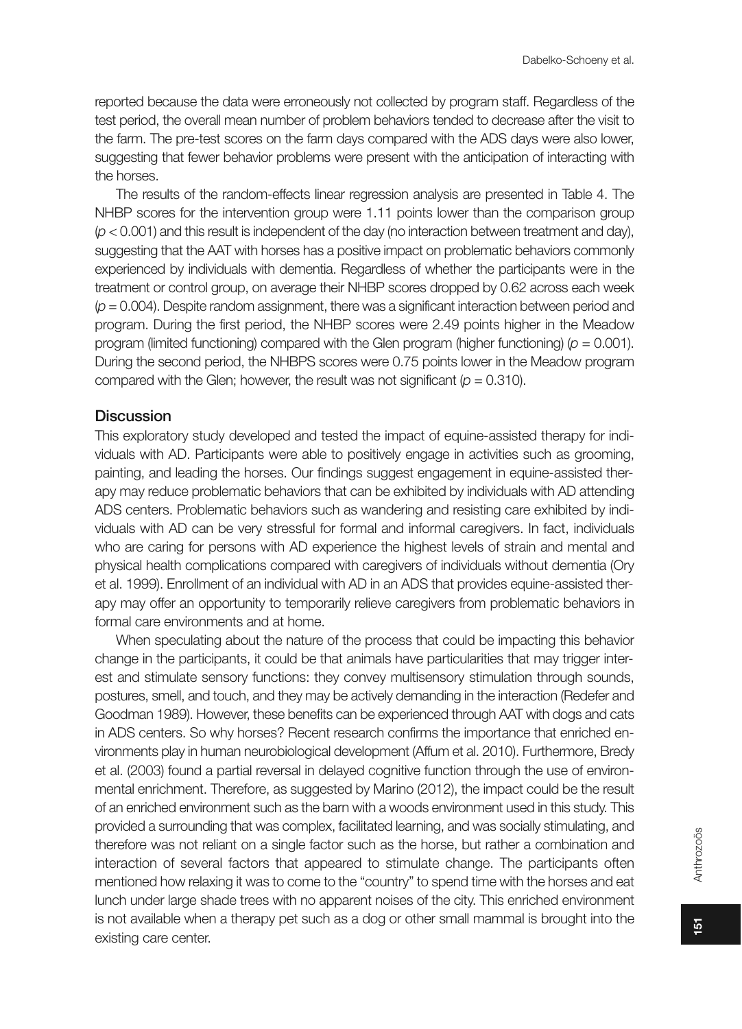reported because the data were erroneously not collected by program staff. Regardless of the test period, the overall mean number of problem behaviors tended to decrease after the visit to the farm. The pre-test scores on the farm days compared with the ADS days were also lower, suggesting that fewer behavior problems were present with the anticipation of interacting with the horses.

The results of the random-effects linear regression analysis are presented in Table 4. The NHBP scores for the intervention group were 1.11 points lower than the comparison group (*p* < 0.001) and this result is independent of the day (no interaction between treatment and day), suggesting that the AAT with horses has a positive impact on problematic behaviors commonly experienced by individuals with dementia. Regardless of whether the participants were in the treatment or control group, on average their NHBP scores dropped by 0.62 across each week (*p* = 0.004). Despite random assignment, there was a significant interaction between period and program. During the first period, the NHBP scores were 2.49 points higher in the Meadow program (limited functioning) compared with the Glen program (higher functioning) (*p* = 0.001). During the second period, the NHBPS scores were 0.75 points lower in the Meadow program compared with the Glen; however, the result was not significant  $(p = 0.310)$ .

#### **Discussion**

This exploratory study developed and tested the impact of equine-assisted therapy for individuals with AD. Participants were able to positively engage in activities such as grooming, painting, and leading the horses. Our findings suggest engagement in equine-assisted therapy may reduce problematic behaviors that can be exhibited by individuals with AD attending ADS centers. Problematic behaviors such as wandering and resisting care exhibited by individuals with AD can be very stressful for formal and informal caregivers. In fact, individuals who are caring for persons with AD experience the highest levels of strain and mental and physical health complications compared with caregivers of individuals without dementia (Ory et al. 1999). Enrollment of an individual with AD in an ADS that provides equine-assisted therapy may offer an opportunity to temporarily relieve caregivers from problematic behaviors in formal care environments and at home. Finders and the random-effects linear regression analysis are presented in Table 4. The results of the intervention group were 1.11 points lower than the comparison group to the intervention group was expected for the day

When speculating about the nature of the process that could be impacting this behavior change in the participants, it could be that animals have particularities that may trigger interest and stimulate sensory functions: they convey multisensory stimulation through sounds, postures, smell, and touch, and they may be actively demanding in the interaction (Redefer and Goodman 1989). However, these benefits can be experienced through AAT with dogs and cats in ADS centers. So why horses? Recent research confirms the importance that enriched environments play in human neurobiological development (Affum et al. 2010). Furthermore, Bredy et al. (2003) found a partial reversal in delayed cognitive function through the use of environmental enrichment. Therefore, as suggested by Marino (2012), the impact could be the result of an enriched environment such as the barn with a woods environment used in this study. This provided a surrounding that was complex, facilitated learning, and was socially stimulating, and therefore was not reliant on a single factor such as the horse, but rather a combination and interaction of several factors that appeared to stimulate change. The participants often mentioned how relaxing it was to come to the "country" to spend time with the horses and eat lunch under large shade trees with no apparent noises of the city. This enriched environment is not available when a therapy pet such as a dog or other small mammal is brought into the existing care center. ing the first period, the NHEP scores were 2.49 points higher in the Meadow<br>had thurdicning) compared with the Glen program (higher functioning) ( $p = 0.001$ ),<br>exord period, the NHBPS scores were 0.75 points bower in the Me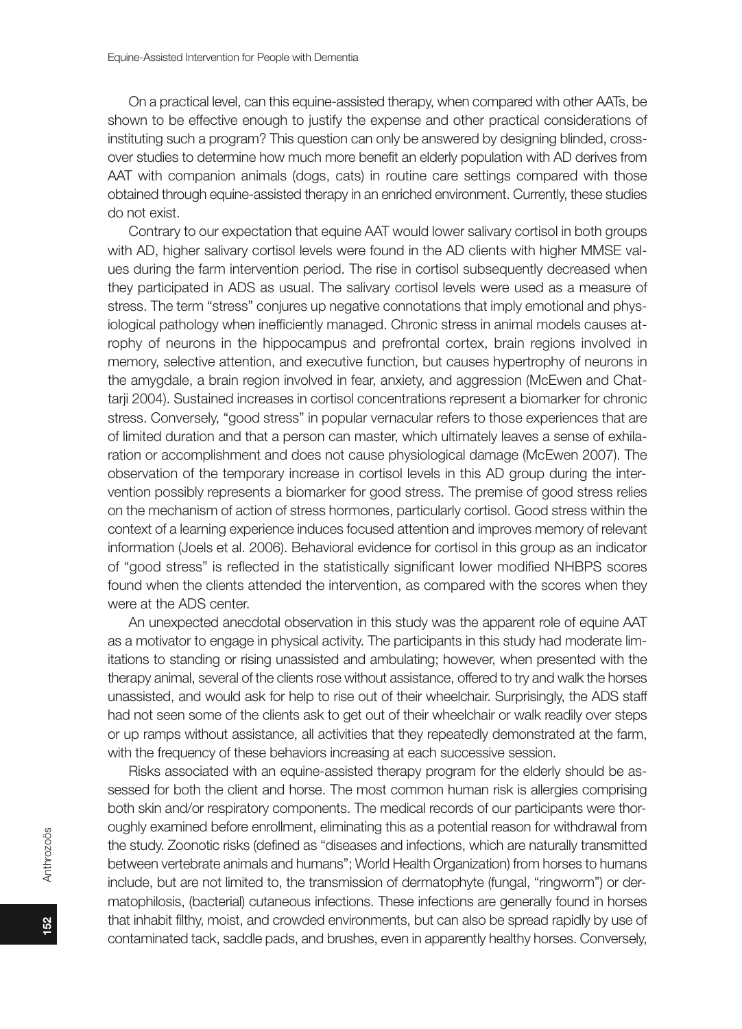On a practical level, can this equine-assisted therapy, when compared with other AATs, be shown to be effective enough to justify the expense and other practical considerations of instituting such a program? This question can only be answered by designing blinded, crossover studies to determine how much more benefit an elderly population with AD derives from AAT with companion animals (dogs, cats) in routine care settings compared with those obtained through equine-assisted therapy in an enriched environment. Currently, these studies do not exist.

Contrary to our expectation that equine AAT would lower salivary cortisol in both groups with AD, higher salivary cortisol levels were found in the AD clients with higher MMSE values during the farm intervention period. The rise in cortisol subsequently decreased when they participated in ADS as usual. The salivary cortisol levels were used as a measure of stress. The term "stress" conjures up negative connotations that imply emotional and physiological pathology when inefficiently managed. Chronic stress in animal models causes atrophy of neurons in the hippocampus and prefrontal cortex, brain regions involved in memory, selective attention, and executive function, but causes hypertrophy of neurons in the amygdale, a brain region involved in fear, anxiety, and aggression (McEwen and Chattarji 2004). Sustained increases in cortisol concentrations represent a biomarker for chronic stress. Conversely, "good stress" in popular vernacular refers to those experiences that are of limited duration and that a person can master, which ultimately leaves a sense of exhilaration or accomplishment and does not cause physiological damage (McEwen 2007). The observation of the temporary increase in cortisol levels in this AD group during the intervention possibly represents a biomarker for good stress. The premise of good stress relies on the mechanism of action of stress hormones, particularly cortisol. Good stress within the context of a learning experience induces focused attention and improves memory of relevant information (Joels et al. 2006). Behavioral evidence for cortisol in this group as an indicator of "good stress" is reflected in the statistically significant lower modified NHBPS scores found when the clients attended the intervention, as compared with the scores when they were at the ADS center. Frainmost contrast coupline and a stop. The must coupline can serve when the state and the state of the state of the state of the state of the contrast of the contrast of change of the contrast of the contrast of the contr thology when inefficiently managed. Chronic streas in animal models causes at<br>eurons in the hippocampus and performital cortex, brain regolars involved in<br>electrive attention, and executive function, but causes hyperfroply

An unexpected anecdotal observation in this study was the apparent role of equine AAT as a motivator to engage in physical activity. The participants in this study had moderate limitations to standing or rising unassisted and ambulating; however, when presented with the therapy animal, several of the clients rose without assistance, offered to try and walk the horses unassisted, and would ask for help to rise out of their wheelchair. Surprisingly, the ADS staff had not seen some of the clients ask to get out of their wheelchair or walk readily over steps or up ramps without assistance, all activities that they repeatedly demonstrated at the farm, with the frequency of these behaviors increasing at each successive session.

Risks associated with an equine-assisted therapy program for the elderly should be assessed for both the client and horse. The most common human risk is allergies comprising both skin and/or respiratory components. The medical records of our participants were thoroughly examined before enrollment, eliminating this as a potential reason for withdrawal from the study. Zoonotic risks (defined as "diseases and infections, which are naturally transmitted between vertebrate animals and humans"; World Health Organization) from horses to humans include, but are not limited to, the transmission of dermatophyte (fungal, "ringworm") or dermatophilosis, (bacterial) cutaneous infections. These infections are generally found in horses that inhabit filthy, moist, and crowded environments, but can also be spread rapidly by use of contaminated tack, saddle pads, and brushes, even in apparently healthy horses. Conversely,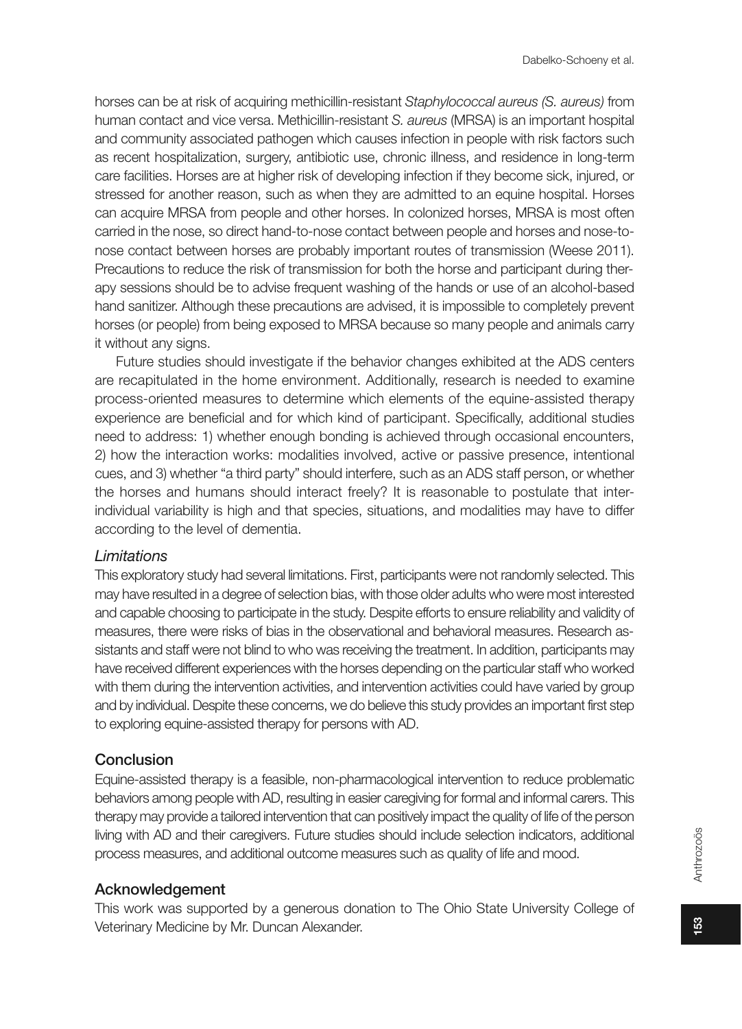horses can be at risk of acquiring methicillin-resistant *Staphylococcal aureus (S. aureus)* from human contact and vice versa. Methicillin-resistant *S. aureus* (MRSA) is an important hospital and community associated pathogen which causes infection in people with risk factors such as recent hospitalization, surgery, antibiotic use, chronic illness, and residence in long-term care facilities. Horses are at higher risk of developing infection if they become sick, injured, or stressed for another reason, such as when they are admitted to an equine hospital. Horses can acquire MRSA from people and other horses. In colonized horses, MRSA is most often carried in the nose, so direct hand-to-nose contact between people and horses and nose-tonose contact between horses are probably important routes of transmission (Weese 2011). Precautions to reduce the risk of transmission for both the horse and participant during therapy sessions should be to advise frequent washing of the hands or use of an alcohol-based hand sanitizer. Although these precautions are advised, it is impossible to completely prevent horses (or people) from being exposed to MRSA because so many people and animals carry it without any signs.

Future studies should investigate if the behavior changes exhibited at the ADS centers are recapitulated in the home environment. Additionally, research is needed to examine process-oriented measures to determine which elements of the equine-assisted therapy experience are beneficial and for which kind of participant. Specifically, additional studies need to address: 1) whether enough bonding is achieved through occasional encounters, 2) how the interaction works: modalities involved, active or passive presence, intentional cues, and 3) whether "a third party" should interfere, such as an ADS staff person, or whether the horses and humans should interact freely? It is reasonable to postulate that interindividual variability is high and that species, situations, and modalities may have to differ according to the level of dementia. care activities are a transportaneously in the controlling instanton in the year and a complement in the controlling in the controlling in the controlling in the controlling in the most states in colonization can acquire M ople) from being exposed to MFRSA because so many people and animals carry<br>signs.<br>Signs.<br>Signs: should investigate if the behavior changes exhibited at the ADS centers<br>ated in the home environment. Additionally, research i

#### *Limitations*

This exploratory study had several limitations. First, participants were not randomly selected. This may have resulted in a degree of selection bias, with those older adults who were most interested and capable choosing to participate in the study. Despite efforts to ensure reliability and validity of measures, there were risks of bias in the observational and behavioral measures. Research assistants and staff were not blind to who was receiving the treatment. In addition, participants may have received different experiences with the horses depending on the particular staff who worked with them during the intervention activities, and intervention activities could have varied by group and by individual. Despite these concerns, we do believe this study provides an important first step to exploring equine-assisted therapy for persons with AD.

#### **Conclusion**

Equine-assisted therapy is a feasible, non-pharmacological intervention to reduce problematic behaviors among people with AD, resulting in easier caregiving for formal and informal carers. This therapy may provide a tailored intervention that can positively impact the quality of life of the person living with AD and their caregivers. Future studies should include selection indicators, additional process measures, and additional outcome measures such as quality of life and mood.

#### **Acknowledgement**

This work was supported by a generous donation to The Ohio State University College of Veterinary Medicine by Mr. Duncan Alexander.

53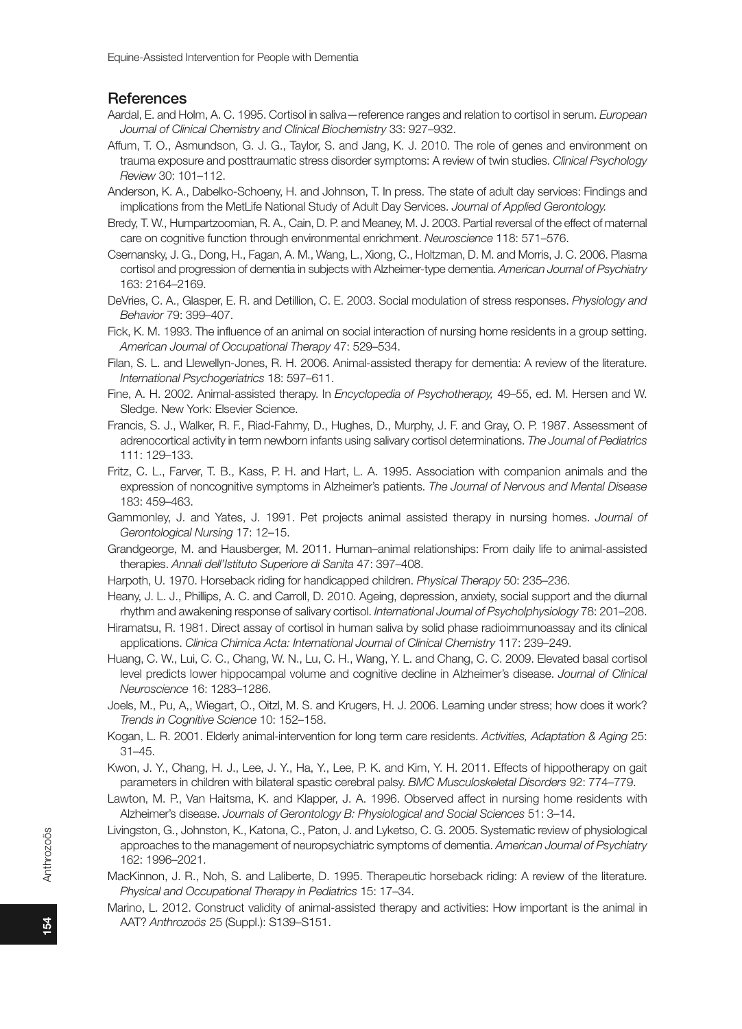#### **References**

- Aardal, E. and Holm, A. C. 1995. Cortisol in saliva—reference ranges and relation to cortisol in serum. *European Journal of Clinical Chemistry and Clinical Biochemistry* 33: 927–932.
- Affum, T. O., Asmundson, G. J. G., Taylor, S. and Jang, K. J. 2010. The role of genes and environment on trauma exposure and posttraumatic stress disorder symptoms: A review of twin studies. *Clinical Psychology Review* 30: 101–112.
- Anderson, K. A., Dabelko-Schoeny, H. and Johnson, T. In press. The state of adult day services: Findings and implications from the MetLife National Study of Adult Day Services. *Journal of Applied Gerontology.*
- Bredy, T. W., Humpartzoomian, R. A., Cain, D. P. and Meaney, M. J. 2003. Partial reversal of the effect of maternal care on cognitive function through environmental enrichment. *Neuroscience* 118: 571–576.
- Csernansky, J. G., Dong, H., Fagan, A. M., Wang, L., Xiong, C., Holtzman, D. M. and Morris, J. C. 2006. Plasma cortisol and progression of dementia in subjects with Alzheimer-type dementia. *American Journal of Psychiatry* 163: 2164–2169.
- DeVries, C. A., Glasper, E. R. and Detillion, C. E. 2003. Social modulation of stress responses. *Physiology and Behavior* 79: 399–407.
- Fick, K. M. 1993. The influence of an animal on social interaction of nursing home residents in a group setting. *American Journal of Occupational Therapy* 47: 529–534.
- Filan, S. L. and Llewellyn-Jones, R. H. 2006. Animal-assisted therapy for dementia: A review of the literature. *International Psychogeriatrics* 18: 597–611.
- Fine, A. H. 2002. Animal-assisted therapy. In *Encyclopedia of Psychotherapy,* 49–55, ed. M. Hersen and W. Sledge. New York: Elsevier Science.
- Francis, S. J., Walker, R. F., Riad-Fahmy, D., Hughes, D., Murphy, J. F. and Gray, O. P. 1987. Assessment of adrenocortical activity in term newborn infants using salivary cortisol determinations. *The Journal of Pediatrics* 111: 129–133.
- Fritz, C. L., Farver, T. B., Kass, P. H. and Hart, L. A. 1995. Association with companion animals and the expression of noncognitive symptoms in Alzheimer's patients. *The Journal of Nervous and Mental Disease* 183: 459–463.
- Gammonley, J. and Yates, J. 1991. Pet projects animal assisted therapy in nursing homes. *Journal of Gerontological Nursing* 17: 12–15.
- Grandgeorge, M. and Hausberger, M. 2011. Human–animal relationships: From daily life to animal-assisted therapies. *Annali dell'Istituto Superiore di Sanita* 47: 397–408.
- Harpoth, U. 1970. Horseback riding for handicapped children. *Physical Therapy* 50: 235–236.
- Heany, J. L. J., Phillips, A. C. and Carroll, D. 2010. Ageing, depression, anxiety, social support and the diurnal rhythm and awakening response of salivary cortisol. *International Journal of Psycholphysiology* 78: 201–208.
- Hiramatsu, R. 1981. Direct assay of cortisol in human saliva by solid phase radioimmunoassay and its clinical applications. *Clinica Chimica Acta: International Journal of Clinical Chemistry* 117: 239–249.
- Huang, C. W., Lui, C. C., Chang, W. N., Lu, C. H., Wang, Y. L. and Chang, C. C. 2009. Elevated basal cortisol level predicts lower hippocampal volume and cognitive decline in Alzheimer's disease. *Journal of Clinical Neuroscience* 16: 1283–1286. Freew oo. To Friz. C. H. Berlin Scherry, H. and Johnson, T. In press. The state of adult day services: Findings<br>
implications from the Multie National Study of Adult Boy Services. Journal of Apples<br>
E-Principal Boy, T.V.,
	- Joels, M., Pu, A,, Wiegart, O., Oitzl, M. S. and Krugers, H. J. 2006. Learning under stress; how does it work? *Trends in Cognitive Science* 10: 152–158.
	- Kogan, L. R. 2001. Elderly animal-intervention for long term care residents. *Activities, Adaptation & Aging* 25: 31–45.
	- Kwon, J. Y., Chang, H. J., Lee, J. Y., Ha, Y., Lee, P. K. and Kim, Y. H. 2011. Effects of hippotherapy on gait parameters in children with bilateral spastic cerebral palsy. *BMC Musculoskeletal Disorders* 92: 774–779.
	- Lawton, M. P., Van Haitsma, K. and Klapper, J. A. 1996. Observed affect in nursing home residents with Alzheimer's disease. *Journals of Gerontology B: Physiological and Social Sciences* 51: 3–14.
	- Livingston, G., Johnston, K., Katona, C., Paton, J. and Lyketso, C. G. 2005. Systematic review of physiological approaches to the management of neuropsychiatric symptoms of dementia. *American Journal of Psychiatry* 162: 1996–2021. 000.1 The Internet of an animal on social interaction of nursing heme residents in a group setting.<br>
	1993. The influence of an animal on social interaction of nursing heme residents in a group setting.<br>
	1993. The influence
	- MacKinnon, J. R., Noh, S. and Laliberte, D. 1995. Therapeutic horseback riding: A review of the literature. *Physical and Occupational Therapy in Pediatrics* 15: 17–34.
	- Marino, L. 2012. Construct validity of animal-assisted therapy and activities: How important is the animal in AAT? *Anthrozoös* 25 (Suppl.): S139–S151.